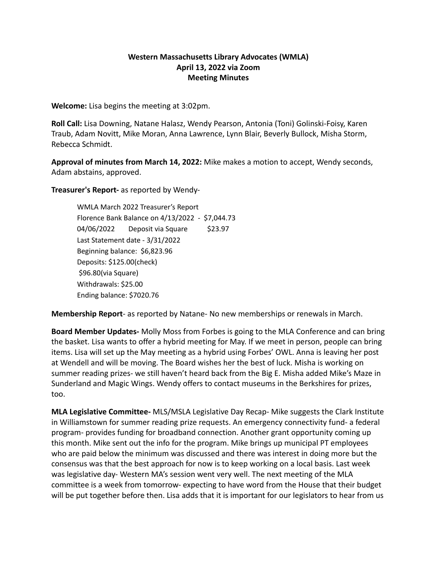## **Western Massachusetts Library Advocates (WMLA) April 13, 2022 via Zoom Meeting Minutes**

**Welcome:** Lisa begins the meeting at 3:02pm.

**Roll Call:** Lisa Downing, Natane Halasz, Wendy Pearson, Antonia (Toni) Golinski-Foisy, Karen Traub, Adam Novitt, Mike Moran, Anna Lawrence, Lynn Blair, Beverly Bullock, Misha Storm, Rebecca Schmidt.

**Approval of minutes from March 14, 2022:** Mike makes a motion to accept, Wendy seconds, Adam abstains, approved.

**Treasurer's Report-** as reported by Wendy-

WMLA March 2022 Treasurer's Report Florence Bank Balance on 4/13/2022 - \$7,044.73 04/06/2022 Deposit via Square \$23.97 Last Statement date - 3/31/2022 Beginning balance: \$6,823.96 Deposits: \$125.00(check) \$96.80(via Square) Withdrawals: \$25.00 Ending balance: \$7020.76

**Membership Report**- as reported by Natane- No new memberships or renewals in March.

**Board Member Updates-** Molly Moss from Forbes is going to the MLA Conference and can bring the basket. Lisa wants to offer a hybrid meeting for May. If we meet in person, people can bring items. Lisa will set up the May meeting as a hybrid using Forbes' OWL. Anna is leaving her post at Wendell and will be moving. The Board wishes her the best of luck. Misha is working on summer reading prizes- we still haven't heard back from the Big E. Misha added Mike's Maze in Sunderland and Magic Wings. Wendy offers to contact museums in the Berkshires for prizes, too.

**MLA Legislative Committee-** MLS/MSLA Legislative Day Recap- Mike suggests the Clark Institute in Williamstown for summer reading prize requests. An emergency connectivity fund- a federal program- provides funding for broadband connection. Another grant opportunity coming up this month. Mike sent out the info for the program. Mike brings up municipal PT employees who are paid below the minimum was discussed and there was interest in doing more but the consensus was that the best approach for now is to keep working on a local basis. Last week was legislative day- Western MA's session went very well. The next meeting of the MLA committee is a week from tomorrow- expecting to have word from the House that their budget will be put together before then. Lisa adds that it is important for our legislators to hear from us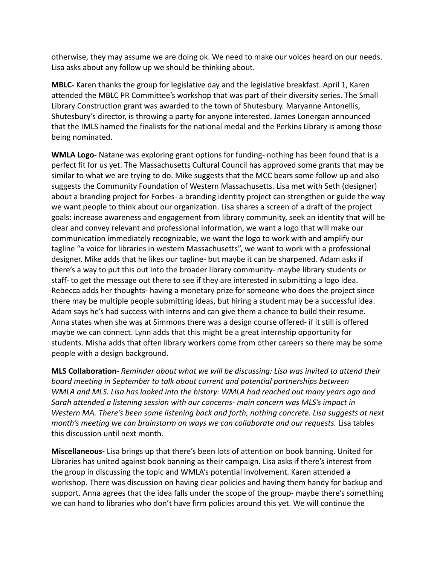otherwise, they may assume we are doing ok. We need to make our voices heard on our needs. Lisa asks about any follow up we should be thinking about.

**MBLC-** Karen thanks the group for legislative day and the legislative breakfast. April 1, Karen attended the MBLC PR Committee's workshop that was part of their diversity series. The Small Library Construction grant was awarded to the town of Shutesbury. Maryanne Antonellis, Shutesbury's director, is throwing a party for anyone interested. James Lonergan announced that the IMLS named the finalists for the national medal and the Perkins Library is among those being nominated.

**WMLA Logo-** Natane was exploring grant options for funding- nothing has been found that is a perfect fit for us yet. The Massachusetts Cultural Council has approved some grants that may be similar to what we are trying to do. Mike suggests that the MCC bears some follow up and also suggests the Community Foundation of Western Massachusetts. Lisa met with Seth (designer) about a branding project for Forbes- a branding identity project can strengthen or guide the way we want people to think about our organization. Lisa shares a screen of a draft of the project goals: increase awareness and engagement from library community, seek an identity that will be clear and convey relevant and professional information, we want a logo that will make our communication immediately recognizable, we want the logo to work with and amplify our tagline "a voice for libraries in western Massachusetts", we want to work with a professional designer. Mike adds that he likes our tagline- but maybe it can be sharpened. Adam asks if there's a way to put this out into the broader library community- maybe library students or staff- to get the message out there to see if they are interested in submitting a logo idea. Rebecca adds her thoughts- having a monetary prize for someone who does the project since there may be multiple people submitting ideas, but hiring a student may be a successful idea. Adam says he's had success with interns and can give them a chance to build their resume. Anna states when she was at Simmons there was a design course offered- if it still is offered maybe we can connect. Lynn adds that this might be a great internship opportunity for students. Misha adds that often library workers come from other careers so there may be some people with a design background.

**MLS Collaboration-** *Reminder about what we will be discussing: Lisa was invited to attend their board meeting in September to talk about current and potential partnerships between WMLA and MLS. Lisa has looked into the history: WMLA had reached out many years ago and Sarah attended a listening session with our concerns- main concern was MLS's impact in Western MA. There's been some listening back and forth, nothing concrete. Lisa suggests at next month's meeting we can brainstorm on ways we can collaborate and our requests.* Lisa tables this discussion until next month.

**Miscellaneous-** Lisa brings up that there's been lots of attention on book banning. United for Libraries has united against book banning as their campaign. Lisa asks if there's interest from the group in discussing the topic and WMLA's potential involvement. Karen attended a workshop. There was discussion on having clear policies and having them handy for backup and support. Anna agrees that the idea falls under the scope of the group- maybe there's something we can hand to libraries who don't have firm policies around this yet. We will continue the